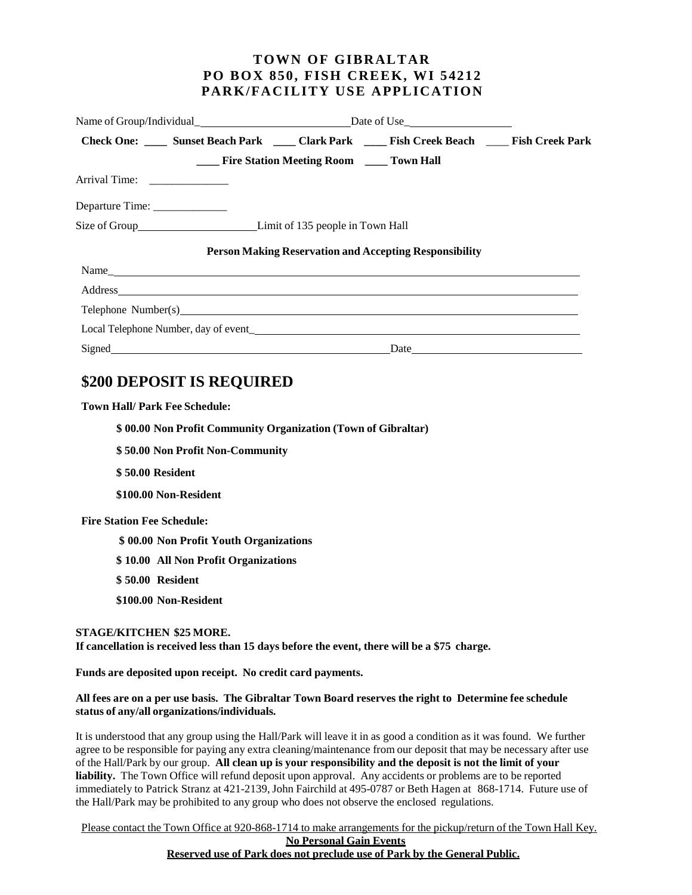### **TOWN OF GIBRALTAR PO BOX 850, FISH CREEK, WI 54212 PARK/FACILITY USE APPLICATION**

|                                |                                                                                  |  | Check One: _____ Sunset Beach Park _____ Clark Park _____ Fish Creek Beach _____ Fish Creek Park                                                                                                                               |  |  |
|--------------------------------|----------------------------------------------------------------------------------|--|--------------------------------------------------------------------------------------------------------------------------------------------------------------------------------------------------------------------------------|--|--|
|                                | <b>EXAMPLE 1.5 Fire Station Meeting Room Fig. 1.5 Town Hall</b>                  |  |                                                                                                                                                                                                                                |  |  |
|                                |                                                                                  |  |                                                                                                                                                                                                                                |  |  |
| Departure Time: ______________ |                                                                                  |  |                                                                                                                                                                                                                                |  |  |
|                                | Size of Group___________________________________Limit of 135 people in Town Hall |  |                                                                                                                                                                                                                                |  |  |
|                                |                                                                                  |  | <b>Person Making Reservation and Accepting Responsibility</b>                                                                                                                                                                  |  |  |
|                                |                                                                                  |  |                                                                                                                                                                                                                                |  |  |
|                                |                                                                                  |  |                                                                                                                                                                                                                                |  |  |
|                                |                                                                                  |  | Telephone Number(s) example and the set of the set of the set of the set of the set of the set of the set of the set of the set of the set of the set of the set of the set of the set of the set of the set of the set of the |  |  |
|                                |                                                                                  |  |                                                                                                                                                                                                                                |  |  |
|                                |                                                                                  |  | Date                                                                                                                                                                                                                           |  |  |

# **\$200 DEPOSIT IS REQUIRED**

#### **Town Hall/ Park Fee Schedule:**

**\$ 00.00 Non Profit Community Organization (Town of Gibraltar)**

**\$ 50.00 Non Profit Non-Community**

**\$ 50.00 Resident**

**\$100.00 Non-Resident**

 **Fire Station Fee Schedule:**

**\$ 00.00 Non Profit Youth Organizations**

**\$ 10.00 All Non Profit Organizations**

**\$ 50.00 Resident**

**\$100.00 Non-Resident**

#### **STAGE/KITCHEN \$25 MORE.**

**If cancellation is received less than 15 days before the event, there will be a \$75 charge.**

**Funds are deposited upon receipt. No credit card payments.**

#### All fees are on a per use basis. The Gibraltar Town Board reserves the right to Determine fee schedule **status of any/all organizations/individuals.**

It is understood that any group using the Hall/Park will leave it in as good a condition as it was found. We further agree to be responsible for paying any extra cleaning/maintenance from our deposit that may be necessary after use of the Hall/Park by our group. **All clean up is your responsibility and the deposit is not the limit of your liability.** The Town Office will refund deposit upon approval. Any accidents or problems are to be reported immediately to Patrick Stranz at 421-2139,John Fairchild at 495-0787 or Beth Hagen at 868-1714. Future use of the Hall/Park may be prohibited to any group who does not observe the enclosed regulations.

Please contact the Town Office at 920-868-1714 to make arrangements for the pickup/return of the Town Hall Key.

### **No Personal Gain Events Reserved use of Park does not preclude use of Park by the General Public.**